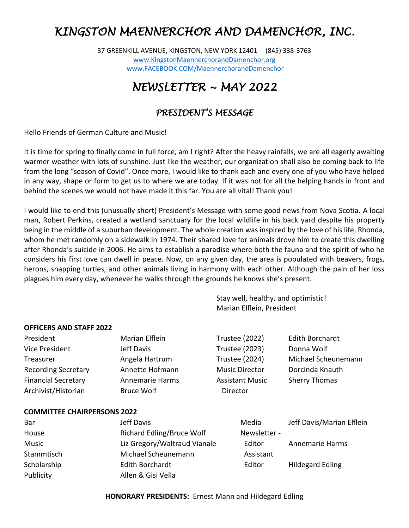# *KINGSTON MAENNERCHOR AND DAMENCHOR, INC.*

37 GREENKILL AVENUE, KINGSTON, NEW YORK 12401 (845) 338-3763 [www.KingstonMaennerchorandDamenchor.org](http://www.kingstonmaennerchoranddamenchor.org/)  [www.FACEBOOK.COM/MaennerchorandDamenchor](http://www.facebook.com/MaennerchorandDamenchor)

# *NEWSLETTER ~ MAY 2022*

# *PRESIDENT'S MESSAGE*

Hello Friends of German Culture and Music!

It is time for spring to finally come in full force, am I right? After the heavy rainfalls, we are all eagerly awaiting warmer weather with lots of sunshine. Just like the weather, our organization shall also be coming back to life from the long "season of Covid". Once more, I would like to thank each and every one of you who have helped in any way, shape or form to get us to where we are today. If it was not for all the helping hands in front and behind the scenes we would not have made it this far. You are all vital! Thank you!

I would like to end this (unusually short) President's Message with some good news from Nova Scotia. A local man, Robert Perkins, created a wetland sanctuary for the local wildlife in his back yard despite his property being in the middle of a suburban development. The whole creation was inspired by the love of his life, Rhonda, whom he met randomly on a sidewalk in 1974. Their shared love for animals drove him to create this dwelling after Rhonda's suicide in 2006. He aims to establish a paradise where both the fauna and the spirit of who he considers his first love can dwell in peace. Now, on any given day, the area is populated with beavers, frogs, herons, snapping turtles, and other animals living in harmony with each other. Although the pain of her loss plagues him every day, whenever he walks through the grounds he knows she's present.

> Stay well, healthy, and optimistic! Marian Elflein, President

### **OFFICERS AND STAFF 2022**

| President                          | Marian Elflein                                                                                                                              | <b>Trustee (2022)</b>    | <b>Edith Borchardt</b>    |
|------------------------------------|---------------------------------------------------------------------------------------------------------------------------------------------|--------------------------|---------------------------|
| <b>Vice President</b>              | Jeff Davis                                                                                                                                  | <b>Trustee (2023)</b>    | Donna Wolf                |
| Treasurer                          | Angela Hartrum                                                                                                                              | <b>Trustee (2024)</b>    | Michael Scheunemann       |
| <b>Recording Secretary</b>         | Annette Hofmann                                                                                                                             | <b>Music Director</b>    | Dorcinda Knauth           |
| <b>Financial Secretary</b>         | Annemarie Harms                                                                                                                             | <b>Assistant Music</b>   | <b>Sherry Thomas</b>      |
| Archivist/Historian                | <b>Bruce Wolf</b>                                                                                                                           | Director                 |                           |
| <b>COMMITTEE CHAIRPERSONS 2022</b> |                                                                                                                                             |                          |                           |
| Bar                                | Jeff Davis                                                                                                                                  | Media                    | Jeff Davis/Marian Elflein |
|                                    | $R$ . Let $\mathcal{L}$ and $R$ and $\mathcal{L}$ and $\mathcal{L}$ and $\mathcal{L}$ and $\mathcal{L}$ and $\mathcal{L}$ and $\mathcal{L}$ | <b>Allen alleged and</b> |                           |

| -Bar         | Jeff Davis                   | iviedia.     | Jeff Davis/Marian Elfieln |
|--------------|------------------------------|--------------|---------------------------|
| House        | Richard Edling/Bruce Wolf    | Newsletter - |                           |
| <b>Music</b> | Liz Gregory/Waltraud Vianale | Editor       | Annemarie Harms           |
| Stammtisch   | Michael Scheunemann          | Assistant    |                           |
| Scholarship  | Edith Borchardt              | Editor       | <b>Hildegard Edling</b>   |
| Publicity    | Allen & Gisi Vella           |              |                           |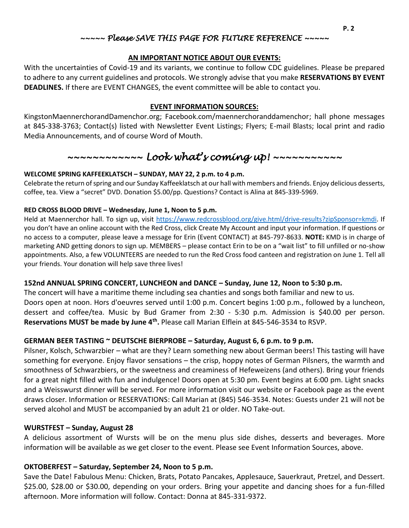## *~~~~~ Please SAVE THIS PAGE FOR FUTURE REFERENCE ~~~~~*

### **AN IMPORTANT NOTICE ABOUT OUR EVENTS:**

With the uncertainties of Covid-19 and its variants, we continue to follow CDC guidelines. Please be prepared to adhere to any current guidelines and protocols. We strongly advise that you make **RESERVATIONS BY EVENT DEADLINES.** If there are EVENT CHANGES, the event committee will be able to contact you.

#### **EVENT INFORMATION SOURCES:**

KingstonMaennerchorandDamenchor.org; Facebook.com/maennerchoranddamenchor; hall phone messages at 845-338-3763; Contact(s) listed with Newsletter Event Listings; Flyers; E-mail Blasts; local print and radio Media Announcements, and of course Word of Mouth.

# *~~~~~~~~~~~~ Look what's coming up! ~~~~~~~~~~~*

### **WELCOME SPRING KAFFEEKLATSCH – SUNDAY, MAY 22, 2 p.m. to 4 p.m.**

Celebrate the return of spring and our Sunday Kaffeeklatsch at our hall with members and friends. Enjoy delicious desserts, coffee, tea. View a "secret" DVD. Donation \$5.00/pp. Questions? Contact is Alina at 845-339-5969.

### **RED CROSS BLOOD DRIVE – Wednesday, June 1, Noon to 5 p.m.**

Held at Maennerchor hall. To sign up, visit [https://www.redcrossblood.org/give.html/drive-results?zipSponsor=kmdi.](https://www.redcrossblood.org/give.html/drive-results?zipSponsor=kmdi) If you don't have an online account with the Red Cross, click Create My Account and input your information. If questions or no access to a computer, please leave a message for Erin (Event CONTACT) at 845-797-8633. **NOTE:** KMD is in charge of marketing AND getting donors to sign up. MEMBERS – please contact Erin to be on a "wait list" to fill unfilled or no-show appointments. Also, a few VOLUNTEERS are needed to run the Red Cross food canteen and registration on June 1. Tell all your friends. Your donation will help save three lives!

### **152nd ANNUAL SPRING CONCERT, LUNCHEON and DANCE – Sunday, June 12, Noon to 5:30 p.m.**

The concert will have a maritime theme including sea chanties and songs both familiar and new to us. Doors open at noon. Hors d'oeuvres served until 1:00 p.m. Concert begins 1:00 p.m., followed by a luncheon, dessert and coffee/tea. Music by Bud Gramer from 2:30 - 5:30 p.m. Admission is \$40.00 per person. **Reservations MUST be made by June 4th .** Please call Marian Elflein at 845-546-3534 to RSVP.

## **GERMAN BEER TASTING ~ DEUTSCHE BIERPROBE – Saturday, August 6, 6 p.m. to 9 p.m.**

Pilsner, Kolsch, Schwarzbier – what are they? Learn something new about German beers! This tasting will have something for everyone. Enjoy flavor sensations – the crisp, hoppy notes of German Pilsners, the warmth and smoothness of Schwarzbiers, or the sweetness and creaminess of Hefeweizens (and others). Bring your friends for a great night filled with fun and indulgence! Doors open at 5:30 pm. Event begins at 6:00 pm. Light snacks and a Weisswurst dinner will be served. For more information visit our website or Facebook page as the event draws closer. Information or RESERVATIONS: Call Marian at (845) 546-3534. Notes: Guests under 21 will not be served alcohol and MUST be accompanied by an adult 21 or older. NO Take-out.

### **WURSTFEST – Sunday, August 28**

A delicious assortment of Wursts will be on the menu plus side dishes, desserts and beverages. More information will be available as we get closer to the event. Please see Event Information Sources, above.

### **OKTOBERFEST – Saturday, September 24, Noon to 5 p.m.**

Save the Date! Fabulous Menu: Chicken, Brats, Potato Pancakes, Applesauce, Sauerkraut, Pretzel, and Dessert. \$25.00, \$28.00 or \$30.00, depending on your orders. Bring your appetite and dancing shoes for a fun-filled afternoon. More information will follow. Contact: Donna at 845-331-9372.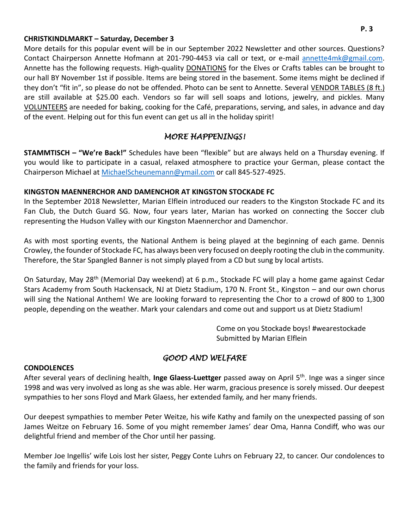### **CHRISTKINDLMARKT – Saturday, December 3**

More details for this popular event will be in our September 2022 Newsletter and other sources. Questions? Contact Chairperson Annette Hofmann at 201-790-4453 via call or text, or e-mail [annette4mk@gmail.com.](mailto:annette4mk@gmail.com) Annette has the following requests. High-quality DONATIONS for the Elves or Crafts tables can be brought to our hall BY November 1st if possible. Items are being stored in the basement. Some items might be declined if they don't "fit in", so please do not be offended. Photo can be sent to Annette. Several VENDOR TABLES (8 ft.) are still available at \$25.00 each. Vendors so far will sell soaps and lotions, jewelry, and pickles. Many VOLUNTEERS are needed for baking, cooking for the Café, preparations, serving, and sales, in advance and day of the event. Helping out for this fun event can get us all in the holiday spirit!

## *MORE HAPPENINGS!*

**STAMMTISCH – "We're Back!"** Schedules have been "flexible" but are always held on a Thursday evening. If you would like to participate in a casual, relaxed atmosphere to practice your German, please contact the Chairperson Michael at [MichaelScheunemann@ymail.com](mailto:MichaelScheunemann@ymail.com) or call 845-527-4925.

### **KINGSTON MAENNERCHOR AND DAMENCHOR AT KINGSTON STOCKADE FC**

In the September 2018 Newsletter, Marian Elflein introduced our readers to the Kingston Stockade FC and its Fan Club, the Dutch Guard SG. Now, four years later, Marian has worked on connecting the Soccer club representing the Hudson Valley with our Kingston Maennerchor and Damenchor.

As with most sporting events, the National Anthem is being played at the beginning of each game. Dennis Crowley, the founder of Stockade FC, has always been very focused on deeply rooting the club in the community. Therefore, the Star Spangled Banner is not simply played from a CD but sung by local artists.

On Saturday, May 28th (Memorial Day weekend) at 6 p.m., Stockade FC will play a home game against Cedar Stars Academy from South Hackensack, NJ at Dietz Stadium, 170 N. Front St., Kingston – and our own chorus will sing the National Anthem! We are looking forward to representing the Chor to a crowd of 800 to 1,300 people, depending on the weather. Mark your calendars and come out and support us at Dietz Stadium!

> Come on you Stockade boys! #wearestockade Submitted by Marian Elflein

## *GOOD AND WELFARE*

### **CONDOLENCES**

After several years of declining health, **Inge Glaess-Luettger** passed away on April 5th. Inge was a singer since 1998 and was very involved as long as she was able. Her warm, gracious presence is sorely missed. Our deepest sympathies to her sons Floyd and Mark Glaess, her extended family, and her many friends.

Our deepest sympathies to member Peter Weitze, his wife Kathy and family on the unexpected passing of son James Weitze on February 16. Some of you might remember James' dear Oma, Hanna Condiff, who was our delightful friend and member of the Chor until her passing.

Member Joe Ingellis' wife Lois lost her sister, Peggy Conte Luhrs on February 22, to cancer. Our condolences to the family and friends for your loss.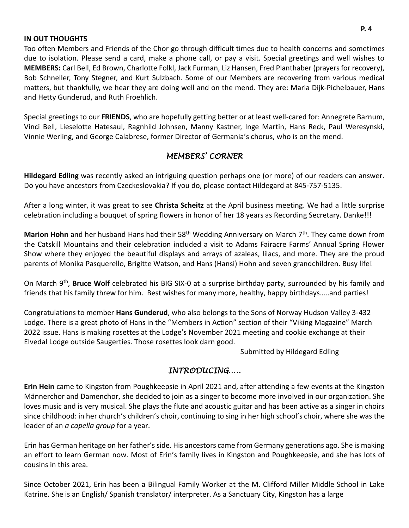#### **IN OUT THOUGHTS**

Too often Members and Friends of the Chor go through difficult times due to health concerns and sometimes due to isolation. Please send a card, make a phone call, or pay a visit. Special greetings and well wishes to **MEMBERS:** Carl Bell, Ed Brown, Charlotte Folkl, Jack Furman, Liz Hansen, Fred Planthaber (prayers for recovery), Bob Schneller, Tony Stegner, and Kurt Sulzbach. Some of our Members are recovering from various medical matters, but thankfully, we hear they are doing well and on the mend. They are: Maria Dijk-Pichelbauer, Hans and Hetty Gunderud, and Ruth Froehlich.

Special greetings to our **FRIENDS**, who are hopefully getting better or at least well-cared for: Annegrete Barnum, Vinci Bell, Lieselotte Hatesaul, Ragnhild Johnsen, Manny Kastner, Inge Martin, Hans Reck, Paul Weresynski, Vinnie Werling, and George Calabrese, former Director of Germania's chorus, who is on the mend.

## *MEMBERS' CORNER*

**Hildegard Edling** was recently asked an intriguing question perhaps one (or more) of our readers can answer. Do you have ancestors from Czeckeslovakia? If you do, please contact Hildegard at 845-757-5135.

After a long winter, it was great to see **Christa Scheitz** at the April business meeting. We had a little surprise celebration including a bouquet of spring flowers in honor of her 18 years as Recording Secretary. Danke!!!

**Marion Hohn** and her husband Hans had their 58<sup>th</sup> Wedding Anniversary on March 7<sup>th</sup>. They came down from the Catskill Mountains and their celebration included a visit to Adams Fairacre Farms' Annual Spring Flower Show where they enjoyed the beautiful displays and arrays of azaleas, lilacs, and more. They are the proud parents of Monika Pasquerello, Brigitte Watson, and Hans (Hansi) Hohn and seven grandchildren. Busy life!

On March 9<sup>th</sup>, **Bruce Wolf** celebrated his BIG SIX-0 at a surprise birthday party, surrounded by his family and friends that his family threw for him. Best wishes for many more, healthy, happy birthdays…..and parties!

Congratulations to member **Hans Gunderud**, who also belongs to the Sons of Norway Hudson Valley 3-432 Lodge. There is a great photo of Hans in the "Members in Action" section of their "Viking Magazine" March 2022 issue. Hans is making rosettes at the Lodge's November 2021 meeting and cookie exchange at their Elvedal Lodge outside Saugerties. Those rosettes look darn good.

Submitted by Hildegard Edling

## *INTRODUCING…..*

**Erin Hein** came to Kingston from Poughkeepsie in April 2021 and, after attending a few events at the Kingston Männerchor and Damenchor, she decided to join as a singer to become more involved in our organization. She loves music and is very musical. She plays the flute and acoustic guitar and has been active as a singer in choirs since childhood: in her church's children's choir, continuing to sing in her high school's choir, where she was the leader of an *a capella group* for a year.

Erin has German heritage on her father's side. His ancestors came from Germany generations ago. She is making an effort to learn German now. Most of Erin's family lives in Kingston and Poughkeepsie, and she has lots of cousins in this area.

Since October 2021, Erin has been a Bilingual Family Worker at the M. Clifford Miller Middle School in Lake Katrine. She is an English/ Spanish translator/ interpreter. As a Sanctuary City, Kingston has a large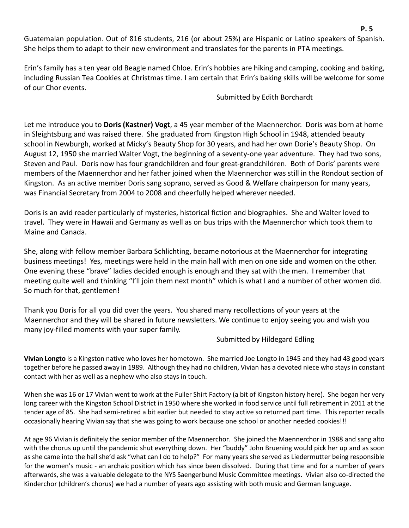Guatemalan population. Out of 816 students, 216 (or about 25%) are Hispanic or Latino speakers of Spanish. She helps them to adapt to their new environment and translates for the parents in PTA meetings.

Erin's family has a ten year old Beagle named Chloe. Erin's hobbies are hiking and camping, cooking and baking, including Russian Tea Cookies at Christmas time. I am certain that Erin's baking skills will be welcome for some of our Chor events.

Submitted by Edith Borchardt

Let me introduce you to **Doris (Kastner) Vogt**, a 45 year member of the Maennerchor. Doris was born at home in Sleightsburg and was raised there. She graduated from Kingston High School in 1948, attended beauty school in Newburgh, worked at Micky's Beauty Shop for 30 years, and had her own Dorie's Beauty Shop. On August 12, 1950 she married Walter Vogt, the beginning of a seventy-one year adventure. They had two sons, Steven and Paul. Doris now has four grandchildren and four great-grandchildren. Both of Doris' parents were members of the Maennerchor and her father joined when the Maennerchor was still in the Rondout section of Kingston. As an active member Doris sang soprano, served as Good & Welfare chairperson for many years, was Financial Secretary from 2004 to 2008 and cheerfully helped wherever needed.

Doris is an avid reader particularly of mysteries, historical fiction and biographies. She and Walter loved to travel. They were in Hawaii and Germany as well as on bus trips with the Maennerchor which took them to Maine and Canada.

She, along with fellow member Barbara Schlichting, became notorious at the Maennerchor for integrating business meetings! Yes, meetings were held in the main hall with men on one side and women on the other. One evening these "brave" ladies decided enough is enough and they sat with the men. I remember that meeting quite well and thinking "I'll join them next month" which is what I and a number of other women did. So much for that, gentlemen!

Thank you Doris for all you did over the years. You shared many recollections of your years at the Maennerchor and they will be shared in future newsletters. We continue to enjoy seeing you and wish you many joy-filled moments with your super family.

Submitted by Hildegard Edling

**Vivian Longto** is a Kingston native who loves her hometown. She married Joe Longto in 1945 and they had 43 good years together before he passed away in 1989. Although they had no children, Vivian has a devoted niece who stays in constant contact with her as well as a nephew who also stays in touch.

When she was 16 or 17 Vivian went to work at the Fuller Shirt Factory (a bit of Kingston history here). She began her very long career with the Kingston School District in 1950 where she worked in food service until full retirement in 2011 at the tender age of 85. She had semi-retired a bit earlier but needed to stay active so returned part time. This reporter recalls occasionally hearing Vivian say that she was going to work because one school or another needed cookies!!!

At age 96 Vivian is definitely the senior member of the Maennerchor. She joined the Maennerchor in 1988 and sang alto with the chorus up until the pandemic shut everything down. Her "buddy" John Bruening would pick her up and as soon as she came into the hall she'd ask "what can I do to help?" For many years she served as Liedermutter being responsible for the women's music - an archaic position which has since been dissolved. During that time and for a number of years afterwards, she was a valuable delegate to the NYS Saengerbund Music Committee meetings. Vivian also co-directed the Kinderchor (children's chorus) we had a number of years ago assisting with both music and German language.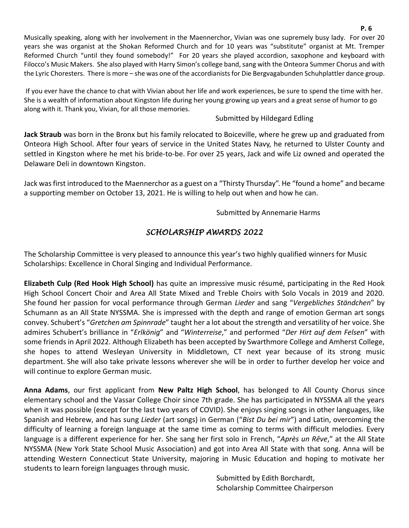If you ever have the chance to chat with Vivian about her life and work experiences, be sure to spend the time with her. She is a wealth of information about Kingston life during her young growing up years and a great sense of humor to go along with it. Thank you, Vivian, for all those memories.

## Submitted by Hildegard Edling

**Jack Straub** was born in the Bronx but his family relocated to Boiceville, where he grew up and graduated from Onteora High School. After four years of service in the United States Navy, he returned to Ulster County and settled in Kingston where he met his bride-to-be. For over 25 years, Jack and wife Liz owned and operated the Delaware Deli in downtown Kingston.

Jack was first introduced to the Maennerchor as a guest on a "Thirsty Thursday". He "found a home" and became a supporting member on October 13, 2021. He is willing to help out when and how he can.

## Submitted by Annemarie Harms

# *SCHOLARSHIP AWARDS 2022*

The Scholarship Committee is very pleased to announce this year's two highly qualified winners for Music Scholarships: Excellence in Choral Singing and Individual Performance.

**Elizabeth Culp (Red Hook High School)** has quite an impressive music résumé, participating in the Red Hook High School Concert Choir and Area All State Mixed and Treble Choirs with Solo Vocals in 2019 and 2020. She found her passion for vocal performance through German *Lieder* and sang "*Vergebliches Ständchen*" by Schumann as an All State NYSSMA. She is impressed with the depth and range of emotion German art songs convey. Schubert's "*Gretchen am Spinnrade*" taught her a lot about the strength and versatility of her voice. She admires Schubert's brilliance in "*Erlkönig*" and "*Winterreise*," and performed "*Der Hirt auf dem Felsen*" with some friends in April 2022. Although Elizabeth has been accepted by Swarthmore College and Amherst College, she hopes to attend Wesleyan University in Middletown, CT next year because of its strong music department. She will also take private lessons wherever she will be in order to further develop her voice and will continue to explore German music.

**Anna Adams**, our first applicant from **New Paltz High School**, has belonged to All County Chorus since elementary school and the Vassar College Choir since 7th grade. She has participated in NYSSMA all the years when it was possible (except for the last two years of COVID). She enjoys singing songs in other languages, like Spanish and Hebrew, and has sung *Lieder* (art songs) in German ("*Bist Du bei mir*") and Latin, overcoming the difficulty of learning a foreign language at the same time as coming to terms with difficult melodies. Every language is a different experience for her. She sang her first solo in French, "*Après un Rêve*," at the All State NYSSMA (New York State School Music Association) and got into Area All State with that song. Anna will be attending Western Connecticut State University, majoring in Music Education and hoping to motivate her students to learn foreign languages through music.

> Submitted by Edith Borchardt, Scholarship Committee Chairperson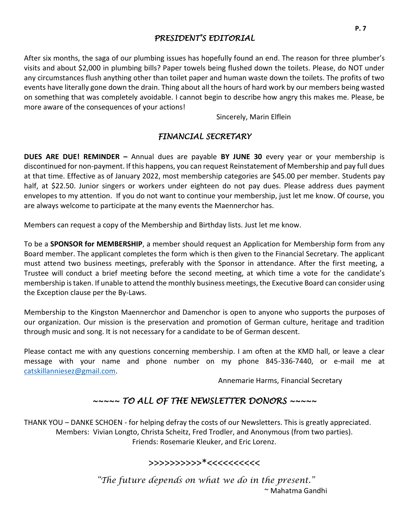## *PRESIDENT'S EDITORIAL*

After six months, the saga of our plumbing issues has hopefully found an end. The reason for three plumber's visits and about \$2,000 in plumbing bills? Paper towels being flushed down the toilets. Please, do NOT under any circumstances flush anything other than toilet paper and human waste down the toilets. The profits of two events have literally gone down the drain. Thing about all the hours of hard work by our members being wasted on something that was completely avoidable. I cannot begin to describe how angry this makes me. Please, be more aware of the consequences of your actions!

Sincerely, Marin Elflein

## *FINANCIAL SECRETARY*

**DUES ARE DUE! REMINDER –** Annual dues are payable **BY JUNE 30** every year or your membership is discontinued for non-payment. If this happens, you can request Reinstatement of Membership and pay full dues at that time. Effective as of January 2022, most membership categories are \$45.00 per member. Students pay half, at \$22.50. Junior singers or workers under eighteen do not pay dues. Please address dues payment envelopes to my attention. If you do not want to continue your membership, just let me know. Of course, you are always welcome to participate at the many events the Maennerchor has.

Members can request a copy of the Membership and Birthday lists. Just let me know.

To be a **SPONSOR for MEMBERSHIP**, a member should request an Application for Membership form from any Board member. The applicant completes the form which is then given to the Financial Secretary. The applicant must attend two business meetings, preferably with the Sponsor in attendance. After the first meeting, a Trustee will conduct a brief meeting before the second meeting, at which time a vote for the candidate's membership is taken. If unable to attend the monthly business meetings, the Executive Board can consider using the Exception clause per the By-Laws.

Membership to the Kingston Maennerchor and Damenchor is open to anyone who supports the purposes of our organization. Our mission is the preservation and promotion of German culture, heritage and tradition through music and song. It is not necessary for a candidate to be of German descent.

Please contact me with any questions concerning membership. I am often at the KMD hall, or leave a clear message with your name and phone number on my phone 845-336-7440, or e-mail me at [catskillanniesez@gmail.com.](mailto:catskillanniesez@gmail.com)

Annemarie Harms, Financial Secretary

# *~~~~~ TO ALL OF THE NEWSLETTER DONORS ~~~~~*

THANK YOU – DANKE SCHOEN - for helping defray the costs of our Newsletters. This is greatly appreciated. Members: Vivian Longto, Christa Scheitz, Fred Trodler, and Anonymous (from two parties). Friends: Rosemarie Kleuker, and Eric Lorenz.

# >>>>>>>>>>\*<<<<<<<<<<

*"The future depends on what we do in the present."* ~ Mahatma Gandhi